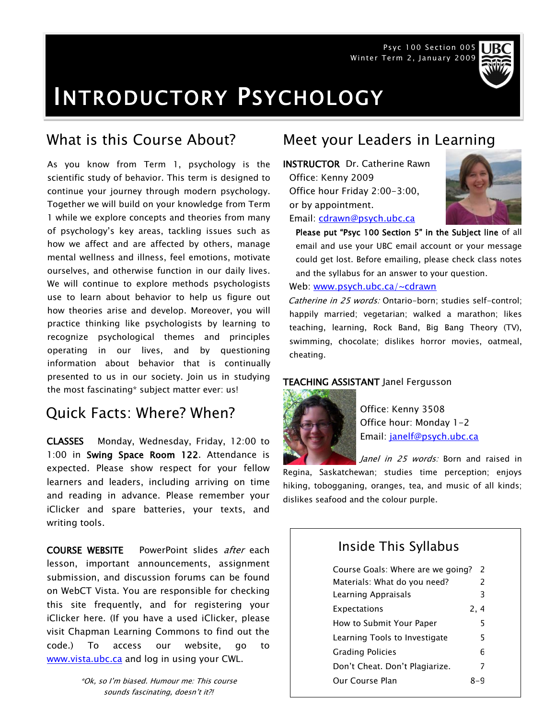Psyc 100 Section 005 Winter Term 2, January 2009



# INTRODUCTORY PSYCHOLOGY

As you know from Term 1, psychology is the scientific study of behavior. This term is designed to continue your journey through modern psychology. Together we will build on your knowledge from Term 1 while we explore concepts and theories from many of psychology's key areas, tackling issues such as how we affect and are affected by others, manage mental wellness and illness, feel emotions, motivate ourselves, and otherwise function in our daily lives. We will continue to explore methods psychologists use to learn about behavior to help us figure out how theories arise and develop. Moreover, you will practice thinking like psychologists by learning to recognize psychological themes and principles operating in our lives, and by questioning information about behavior that is continually presented to us in our society. Join us in studying the most fascinating\* subject matter ever: us!

# Quick Facts: Where? When?

CLASSES Monday, Wednesday, Friday, 12:00 to 1:00 in Swing Space Room 122. Attendance is expected. Please show respect for your fellow learners and leaders, including arriving on time and reading in advance. Please remember your iClicker and spare batteries, your texts, and writing tools.

COURSE WEBSITE PowerPoint slides after each lesson, important announcements, assignment submission, and discussion forums can be found on WebCT Vista. You are responsible for checking this site frequently, and for registering your iClicker here. (If you have a used iClicker, please visit Chapman Learning Commons to find out the code.) To access our website, go to [www.vista.ubc.ca](http://www.vista.ubc.ca/) and log in using your CWL.

> \*Ok, so I'm biased. Humour me: This course sounds fascinating, doesn't it?!

# What is this Course About? Meet your Leaders in Learning

INSTRUCTOR Dr. Catherine Rawn Office: Kenny 2009 Office hour Friday 2:00-3:00, or by appointment. Email: [cdrawn@psych.ubc.ca](mailto:cdrawn@psych.ubc.ca)



Please put "Psyc 100 Section 5" in the Subject line of all email and use your UBC email account or your message could get lost. Before emailing, please check class notes and the syllabus for an answer to your question.

Web: [www.psych.ubc.ca/~cdrawn](http://www.psych.ubc.ca/~cdrawn)

Catherine in 25 words: Ontario-born; studies self-control; happily married; vegetarian; walked a marathon; likes teaching, learning, Rock Band, Big Bang Theory (TV), swimming, chocolate; dislikes horror movies, oatmeal, cheating.

### TEACHING ASSISTANT Janel Fergusson



Office: Kenny 3508 Office hour: Monday 1-2 Email: [janelf@psych.ubc.ca](mailto:janelf@psych.ubc.ca) 

Janel in 25 words: Born and raised in

Regina, Saskatchewan; studies time perception; enjoys hiking, tobogganing, oranges, tea, and music of all kinds; dislikes seafood and the colour purple.

# Inside This Syllabus

| Course Goals: Where are we going? | $\mathcal{P}$ |  |
|-----------------------------------|---------------|--|
| Materials: What do you need?      | $\mathcal{P}$ |  |
| Learning Appraisals               | 3             |  |
| Expectations                      | 2.4           |  |
| How to Submit Your Paper          | 5             |  |
| Learning Tools to Investigate     | 5             |  |
| <b>Grading Policies</b>           | 6             |  |
| Don't Cheat. Don't Plagiarize.    | 7             |  |
| Our Course Plan                   |               |  |
|                                   |               |  |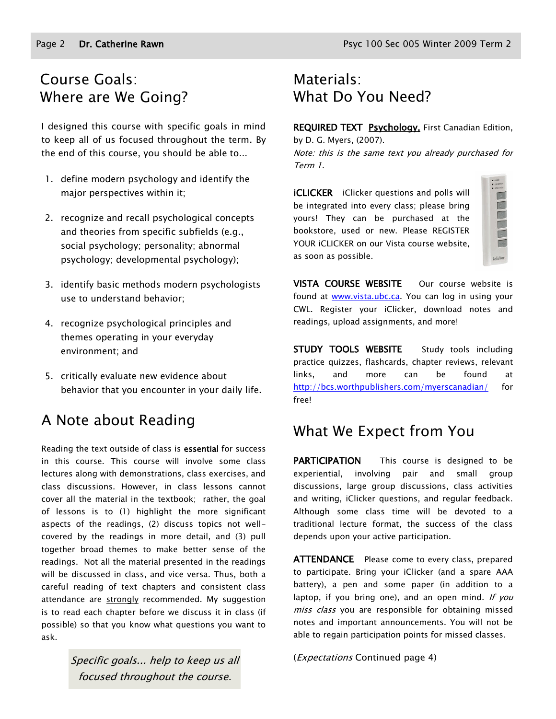# Course Goals: Where are We Going?

I designed this course with specific goals in mind to keep all of us focused throughout the term. By the end of this course, you should be able to...

- 1. define modern psychology and identify the major perspectives within it;
- 2. recognize and recall psychological concepts and theories from specific subfields (e.g., social psychology; personality; abnormal psychology; developmental psychology);
- 3. identify basic methods modern psychologists use to understand behavior;
- 4. recognize psychological principles and themes operating in your everyday environment; and
- 5. critically evaluate new evidence about behavior that you encounter in your daily life.

# A Note about Reading

Reading the text outside of class is essential for success in this course. This course will involve some class lectures along with demonstrations, class exercises, and class discussions. However, in class lessons cannot cover all the material in the textbook; rather, the goal of lessons is to (1) highlight the more significant aspects of the readings, (2) discuss topics not wellcovered by the readings in more detail, and (3) pull together broad themes to make better sense of the readings. Not all the material presented in the readings will be discussed in class, and vice versa. Thus, both a careful reading of text chapters and consistent class attendance are strongly recommended. My suggestion is to read each chapter before we discuss it in class (if possible) so that you know what questions you want to ask.

> Specific goals... help to keep us all focused throughout the course.

# Materials: What Do You Need?

REQUIRED TEXT Psychology, First Canadian Edition,

by D. G. Myers, (2007). Note: this is the same text you already purchased for Term 1.

**iCLICKER** iClicker questions and polls will be integrated into every class; please bring yours! They can be purchased at the bookstore, used or new. Please REGISTER YOUR iCLICKER on our Vista course website, as soon as possible.

| idicke |
|--------|

VISTA COURSE WEBSITE Our course website is found at [www.vista.ubc.ca.](http://www.vista.ubc.ca/) You can log in using your CWL. Register your iClicker, download notes and readings, upload assignments, and more!

STUDY TOOLS WEBSITE Study tools including practice quizzes, flashcards, chapter reviews, relevant links, and more can be found at <http://bcs.worthpublishers.com/myerscanadian/> for free!

# What We Expect from You

PARTICIPATION This course is designed to be experiential, involving pair and small group discussions, large group discussions, class activities and writing, iClicker questions, and regular feedback. Although some class time will be devoted to a traditional lecture format, the success of the class depends upon your active participation.

**ATTENDANCE** Please come to every class, prepared to participate. Bring your iClicker (and a spare AAA battery), a pen and some paper (in addition to a laptop, if you bring one), and an open mind. If you miss class you are responsible for obtaining missed notes and important announcements. You will not be able to regain participation points for missed classes.

(Expectations Continued page 4)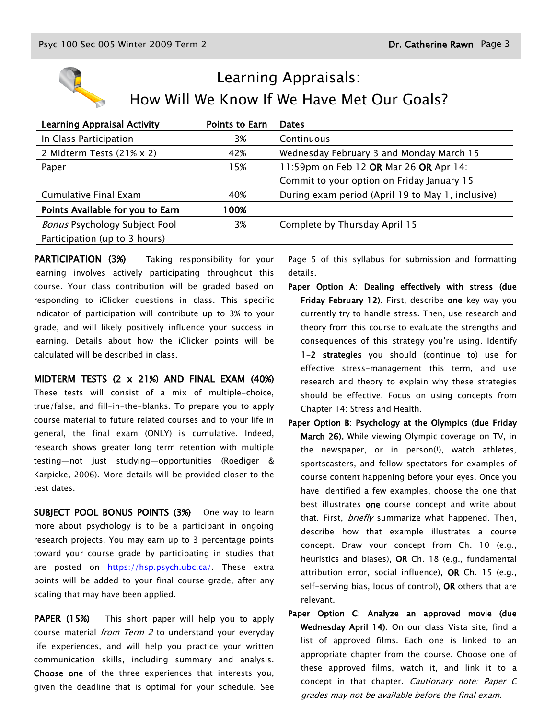

# Learning Appraisals: How Will We Know If We Have Met Our Goals?

| <b>Points to Earn</b> | <b>Dates</b>                                      |
|-----------------------|---------------------------------------------------|
| 3%                    | Continuous                                        |
| 42%                   | Wednesday February 3 and Monday March 15          |
| 15%                   | 11:59pm on Feb 12 OR Mar 26 OR Apr 14:            |
|                       | Commit to your option on Friday January 15        |
| 40%                   | During exam period (April 19 to May 1, inclusive) |
| 00%                   |                                                   |
| 3%                    | Complete by Thursday April 15                     |
|                       |                                                   |
|                       |                                                   |

PARTICIPATION (3%) Taking responsibility for your learning involves actively participating throughout this course. Your class contribution will be graded based on responding to iClicker questions in class. This specific indicator of participation will contribute up to 3% to your grade, and will likely positively influence your success in learning. Details about how the iClicker points will be calculated will be described in class.

MIDTERM TESTS (2 x 21%) AND FINAL EXAM (40%)

These tests will consist of a mix of multiple-choice, true/false, and fill-in-the-blanks. To prepare you to apply course material to future related courses and to your life in general, the final exam (ONLY) is cumulative. Indeed, research shows greater long term retention with multiple testing—not just studying—opportunities (Roediger & Karpicke, 2006). More details will be provided closer to the test dates.

SUBJECT POOL BONUS POINTS (3%) One way to learn more about psychology is to be a participant in ongoing research projects. You may earn up to 3 percentage points toward your course grade by participating in studies that are posted on [https://hsp.psych.ubc.ca/.](https://hsp.psych.ubc.ca/) These extra points will be added to your final course grade, after any scaling that may have been applied.

PAPER (15%) This short paper will help you to apply course material *from Term 2* to understand your everyday life experiences, and will help you practice your written communication skills, including summary and analysis. Choose one of the three experiences that interests you, given the deadline that is optimal for your schedule. See

Page 5 of this syllabus for submission and formatting details.

- Paper Option A: Dealing effectively with stress (due Friday February 12). First, describe one key way you currently try to handle stress. Then, use research and theory from this course to evaluate the strengths and consequences of this strategy you're using. Identify 1-2 strategies you should (continue to) use for effective stress-management this term, and use research and theory to explain why these strategies should be effective. Focus on using concepts from Chapter 14: Stress and Health.
- Paper Option B: Psychology at the Olympics (due Friday March 26). While viewing Olympic coverage on TV, in the newspaper, or in person(!), watch athletes, sportscasters, and fellow spectators for examples of course content happening before your eyes. Once you have identified a few examples, choose the one that best illustrates one course concept and write about that. First, *briefly* summarize what happened. Then, describe how that example illustrates a course concept. Draw your concept from Ch. 10 (e.g., heuristics and biases), OR Ch. 18 (e.g., fundamental attribution error, social influence), OR Ch. 15 (e.g., self-serving bias, locus of control), OR others that are relevant.
- Paper Option C: Analyze an approved movie (due Wednesday April 14). On our class Vista site, find a list of approved films. Each one is linked to an appropriate chapter from the course. Choose one of these approved films, watch it, and link it to a concept in that chapter. Cautionary note: Paper C grades may not be available before the final exam.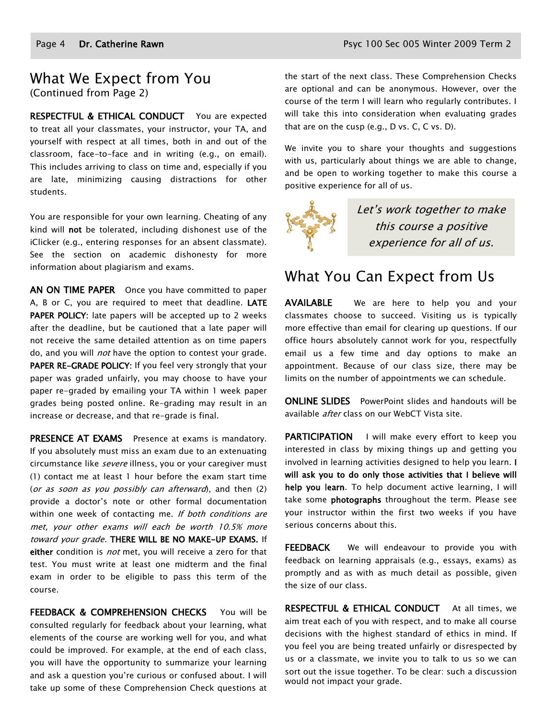### What We Expect from You (Continued from Page 2)

RESPECTFUL & ETHICAL CONDUCT You are expected to treat all your classmates, your instructor, your TA, and yourself with respect at all times, both in and out of the classroom, face-to-face and in writing (e.g., on email). This includes arriving to class on time and, especially if you are late, minimizing causing distractions for other students.

You are responsible for your own learning. Cheating of any kind will not be tolerated, including dishonest use of the iClicker (e.g., entering responses for an absent classmate). See the section on academic dishonesty for more information about plagiarism and exams.

AN ON TIME PAPER Once you have committed to paper A, B or C, you are required to meet that deadline. LATE PAPER POLICY: late papers will be accepted up to 2 weeks after the deadline, but be cautioned that a late paper will not receive the same detailed attention as on time papers do, and you will *not* have the option to contest your grade. PAPER RE-GRADE POLICY: If you feel very strongly that your paper was graded unfairly, you may choose to have your paper re-graded by emailing your TA within 1 week paper grades being posted online. Re-grading may result in an increase or decrease, and that re-grade is final.

PRESENCE AT EXAMS Presence at exams is mandatory. If you absolutely must miss an exam due to an extenuating circumstance like severe illness, you or your caregiver must (1) contact me at least 1 hour before the exam start time (or as soon as you possibly can afterward), and then (2) provide a doctor's note or other formal documentation within one week of contacting me. If both conditions are met, your other exams will each be worth 10.5% more toward your grade. THERE WILL BE NO MAKE-UP EXAMS. If either condition is *not* met, you will receive a zero for that test. You must write at least one midterm and the final exam in order to be eligible to pass this term of the course.

FEEDBACK & COMPREHENSION CHECKS You will be consulted regularly for feedback about your learning, what elements of the course are working well for you, and what could be improved. For example, at the end of each class, you will have the opportunity to summarize your learning and ask a question you're curious or confused about. I will take up some of these Comprehension Check questions at the start of the next class. These Comprehension Checks are optional and can be anonymous. However, over the course of the term I will learn who regularly contributes. I will take this into consideration when evaluating grades that are on the cusp (e.g., D vs. C, C vs. D).

We invite you to share your thoughts and suggestions with us, particularly about things we are able to change, and be open to working together to make this course a positive experience for all of us.



Let's work together to make this course a positive experience for all of us.

# What You Can Expect from Us

AVAILABLE We are here to help you and your classmates choose to succeed. Visiting us is typically more effective than email for clearing up questions. If our office hours absolutely cannot work for you, respectfully email us a few time and day options to make an appointment. Because of our class size, there may be limits on the number of appointments we can schedule.

ONLINE SLIDES PowerPoint slides and handouts will be available *after* class on our WebCT Vista site.

PARTICIPATION I will make every effort to keep you interested in class by mixing things up and getting you involved in learning activities designed to help you learn. I will ask you to do only those activities that I believe will help you learn. To help document active learning, I will take some **photographs** throughout the term. Please see your instructor within the first two weeks if you have serious concerns about this.

FEEDBACK We will endeavour to provide you with feedback on learning appraisals (e.g., essays, exams) as promptly and as with as much detail as possible, given the size of our class.

RESPECTFUL & ETHICAL CONDUCT At all times, we aim treat each of you with respect, and to make all course decisions with the highest standard of ethics in mind. If you feel you are being treated unfairly or disrespected by us or a classmate, we invite you to talk to us so we can sort out the issue together. To be clear: such a discussion would not impact your grade.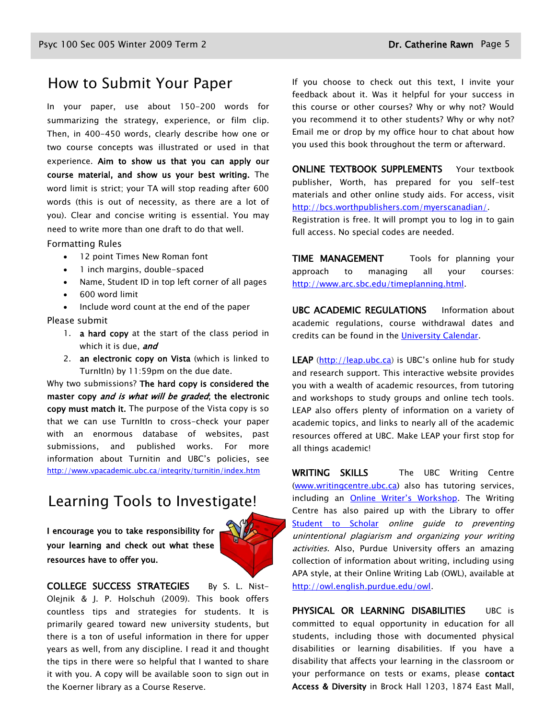### How to Submit Your Paper

In your paper, use about 150-200 words for summarizing the strategy, experience, or film clip. Then, in 400-450 words, clearly describe how one or two course concepts was illustrated or used in that experience. Aim to show us that you can apply our course material, and show us your best writing. The word limit is strict; your TA will stop reading after 600 words (this is out of necessity, as there are a lot of you). Clear and concise writing is essential. You may need to write more than one draft to do that well.

#### Formatting Rules

- 12 point Times New Roman font
- 1 inch margins, double-spaced
- Name, Student ID in top left corner of all pages
- 600 word limit

Include word count at the end of the paper

Please submit

- 1. **a hard copy** at the start of the class period in which it is due, and
- 2. an electronic copy on Vista (which is linked to TurnItIn) by 11:59pm on the due date.

Why two submissions? The hard copy is considered the master copy and is what will be graded; the electronic copy must match it. The purpose of the Vista copy is so that we can use TurnItIn to cross-check your paper with an enormous database of websites, past submissions, and published works. For more information about Turnitin and UBC's policies, see <http://www.vpacademic.ubc.ca/integrity/turnitin/index.htm>

## Learning Tools to Investigate!

I encourage you to take responsibility for your learning and check out what these resources have to offer you.

COLLEGE SUCCESS STRATEGIES By S. L. Nist-Olejnik & J. P. Holschuh (2009). This book offers countless tips and strategies for students. It is primarily geared toward new university students, but there is a ton of useful information in there for upper years as well, from any discipline. I read it and thought the tips in there were so helpful that I wanted to share it with you. A copy will be available soon to sign out in the Koerner library as a Course Reserve.

If you choose to check out this text, I invite your feedback about it. Was it helpful for your success in this course or other courses? Why or why not? Would you recommend it to other students? Why or why not? Email me or drop by my office hour to chat about how you used this book throughout the term or afterward.

ONLINE TEXTBOOK SUPPLEMENTS Your textbook publisher, Worth, has prepared for you self-test materials and other online study aids. For access, visit [http://bcs.worthpublishers.com/myerscanadian/.](http://bcs.worthpublishers.com/myerscanadian/)

Registration is free. It will prompt you to log in to gain full access. No special codes are needed.

TIME MANAGEMENT Tools for planning your approach to managing all your courses: [http://www.arc.sbc.edu/timeplanning.html.](http://www.arc.sbc.edu/timeplanning.html)

UBC ACADEMIC REGULATIONS Information about academic regulations, course withdrawal dates and credits can be found in the [University Calendar.](http://students.ubc.ca/calendar/academicyear.cfm)

LEAP [\(http://leap.ubc.ca\)](http://leap.ubc.ca/) is UBC's online hub for study and research support. This interactive website provides you with a wealth of academic resources, from tutoring and workshops to study groups and online tech tools. LEAP also offers plenty of information on a variety of academic topics, and links to nearly all of the academic resources offered at UBC. Make LEAP your first stop for all things academic!

WRITING SKILLS The UBC Writing Centre [\(www.writingcentre.ubc.ca\)](http://www.writingcentre.ubc.ca/) also has tutoring services, including an [Online Writer's Workshop](http://www.writingcentre.ubc.ca/workshop/index.html). The Writing Centre has also paired up with the Library to offer [Student to Scholar](http://www.library.ubc.ca/hss/instruction/sts/Whole_page.htm) online guide to preventing unintentional plagiarism and organizing your writing activities. Also, Purdue University offers an amazing collection of information about writing, including using APA style, at their Online Writing Lab (OWL), available at [http://owl.english.purdue.edu/owl.](http://owl.english.purdue.edu/owl/)

PHYSICAL OR LEARNING DISABILITIES UBC is committed to equal opportunity in education for all students, including those with documented physical disabilities or learning disabilities. If you have a disability that affects your learning in the classroom or your performance on tests or exams, please contact Access & Diversity in Brock Hall 1203, 1874 East Mall,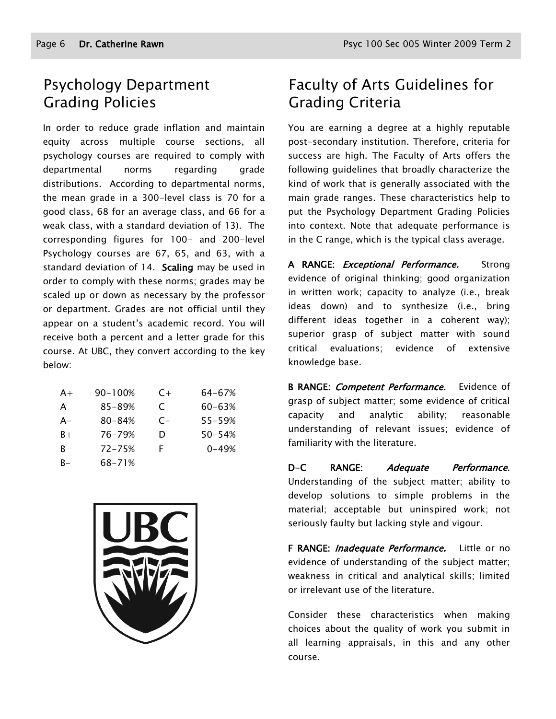# Psychology Department Grading Policies

In order to reduce grade inflation and maintain equity across multiple course sections, all psychology courses are required to comply with departmental norms regarding grade distributions. According to departmental norms, the mean grade in a 300-level class is 70 for a good class, 68 for an average class, and 66 for a weak class, with a standard deviation of 13). The corresponding figures for 100- and 200-level Psychology courses are 67, 65, and 63, with a standard deviation of 14. Scaling may be used in order to comply with these norms; grades may be scaled up or down as necessary by the professor or department. Grades are not official until they appear on a student's academic record. You will receive both a percent and a letter grade for this course. At UBC, they convert according to the key below:

| $A+$ | 90-100%    | $C+$ | 64-67%     |
|------|------------|------|------------|
| A    | 85-89%     | C    | 60-63%     |
| A-   | $80 - 84%$ | $C-$ | $55 - 59%$ |
| $B+$ | 76-79%     | D    | $50 - 54%$ |
| R    | $72 - 75%$ | F    | $0 - 49%$  |
| R-   | 68-71%     |      |            |



# Faculty of Arts Guidelines for Grading Criteria

You are earning a degree at a highly reputable post-secondary institution. Therefore, criteria for success are high. The Faculty of Arts offers the following guidelines that broadly characterize the kind of work that is generally associated with the main grade ranges. These characteristics help to put the Psychology Department Grading Policies into context. Note that adequate performance is in the C range, which is the typical class average.

A RANGE: *Exceptional Performance.* Strong evidence of original thinking; good organization in written work; capacity to analyze (i.e., break ideas down) and to synthesize (i.e., bring different ideas together in a coherent way); superior grasp of subject matter with sound critical evaluations; evidence of extensive knowledge base.

B RANGE: Competent Performance. Evidence of grasp of subject matter; some evidence of critical capacity and analytic ability; reasonable understanding of relevant issues; evidence of familiarity with the literature.

D-C RANGE: Adequate Performance. Understanding of the subject matter; ability to develop solutions to simple problems in the material; acceptable but uninspired work; not seriously faulty but lacking style and vigour.

F RANGE: *Inadequate Performance*. Little or no evidence of understanding of the subject matter; weakness in critical and analytical skills; limited or irrelevant use of the literature.

Consider these characteristics when making choices about the quality of work you submit in all learning appraisals, in this and any other course.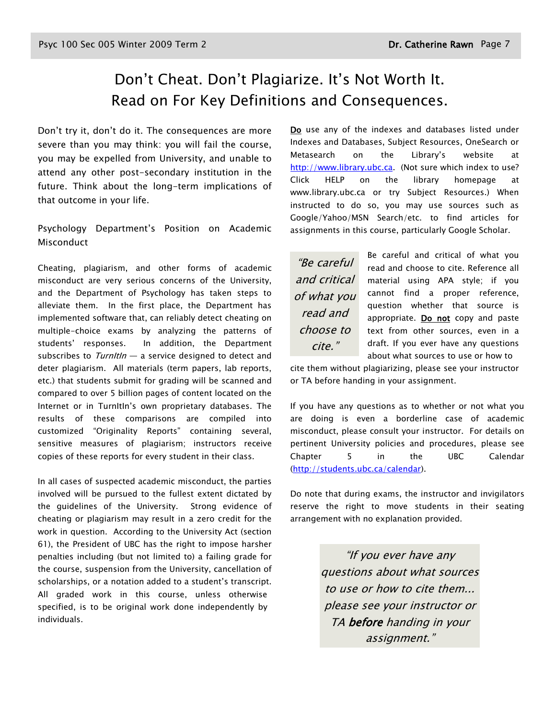# Don't Cheat. Don't Plagiarize. It's Not Worth It. Read on For Key Definitions and Consequences.

Don't try it, don't do it. The consequences are more severe than you may think: you will fail the course, you may be expelled from University, and unable to attend any other post-secondary institution in the future. Think about the long-term implications of that outcome in your life.

Psychology Department's Position on Academic Misconduct

Cheating, plagiarism, and other forms of academic misconduct are very serious concerns of the University, and the Department of Psychology has taken steps to alleviate them. In the first place, the Department has implemented software that, can reliably detect cheating on multiple-choice exams by analyzing the patterns of students' responses. In addition, the Department subscribes to  $Turnltln - a$  service designed to detect and deter plagiarism. All materials (term papers, lab reports, etc.) that students submit for grading will be scanned and compared to over 5 billion pages of content located on the Internet or in TurnItIn's own proprietary databases. The results of these comparisons are compiled into customized "Originality Reports" containing several, sensitive measures of plagiarism; instructors receive copies of these reports for every student in their class.

In all cases of suspected academic misconduct, the parties involved will be pursued to the fullest extent dictated by the guidelines of the University. Strong evidence of cheating or plagiarism may result in a zero credit for the work in question. According to the University Act (section 61), the President of UBC has the right to impose harsher penalties including (but not limited to) a failing grade for the course, suspension from the University, cancellation of scholarships, or a notation added to a student's transcript. All graded work in this course, unless otherwise specified, is to be original work done independently by individuals.

Do use any of the indexes and databases listed under Indexes and Databases, Subject Resources, OneSearch or Metasearch on the Library's website at [http://www.library.ubc.ca.](http://www.library.ubc.ca/) (Not sure which index to use? Click HELP on the library homepage at www.library.ubc.ca or try Subject Resources.) When instructed to do so, you may use sources such as Google/Yahoo/MSN Search/etc. to find articles for assignments in this course, particularly Google Scholar.

"Be careful and critical of what you read and choose to cite."

Be careful and critical of what you read and choose to cite. Reference all material using APA style; if you cannot find a proper reference, question whether that source is appropriate. Do not copy and paste text from other sources, even in a draft. If you ever have any questions about what sources to use or how to

cite them without plagiarizing, please see your instructor or TA before handing in your assignment.

If you have any questions as to whether or not what you are doing is even a borderline case of academic misconduct, please consult your instructor. For details on pertinent University policies and procedures, please see Chapter 5 in the UBC Calendar [\(http://students.ubc.ca/calendar\)](http://students.ubc.ca/calendar).

Do note that during exams, the instructor and invigilators reserve the right to move students in their seating arrangement with no explanation provided.

> "If you ever have any questions about what sources to use or how to cite them... please see your instructor or TA before handing in your assignment."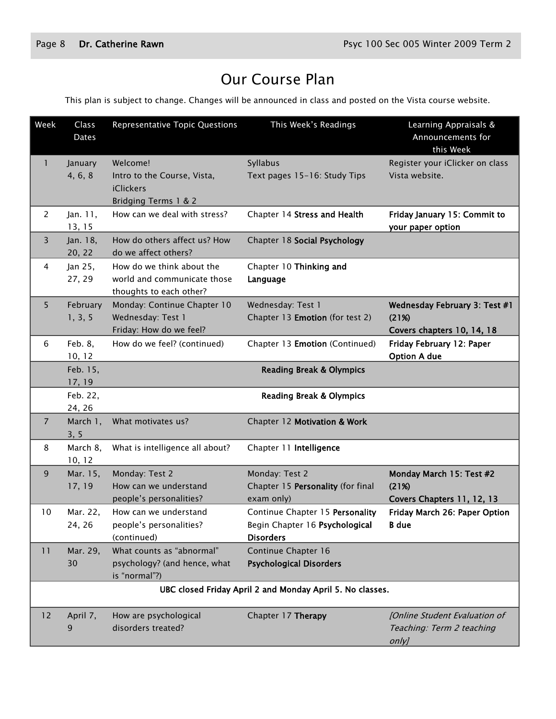# Our Course Plan

This plan is subject to change. Changes will be announced in class and posted on the Vista course website.

| Week           | Class<br>Dates                                            | <b>Representative Topic Questions</b>                                               | This Week's Readings                                                                  | Learning Appraisals &<br>Announcements for<br>this Week                |
|----------------|-----------------------------------------------------------|-------------------------------------------------------------------------------------|---------------------------------------------------------------------------------------|------------------------------------------------------------------------|
| 1              | January<br>4, 6, 8                                        | Welcome!<br>Intro to the Course, Vista,<br><b>iClickers</b><br>Bridging Terms 1 & 2 | Syllabus<br>Text pages 15-16: Study Tips                                              | Register your iClicker on class<br>Vista website.                      |
| 2              | Jan. 11,<br>13, 15                                        | How can we deal with stress?                                                        | Chapter 14 Stress and Health                                                          | Friday January 15: Commit to<br>your paper option                      |
| 3              | Jan. 18,<br>20, 22                                        | How do others affect us? How<br>do we affect others?                                | Chapter 18 Social Psychology                                                          |                                                                        |
| 4              | Jan 25,<br>27, 29                                         | How do we think about the<br>world and communicate those<br>thoughts to each other? | Chapter 10 Thinking and<br>Language                                                   |                                                                        |
| 5              | February<br>1, 3, 5                                       | Monday: Continue Chapter 10<br>Wednesday: Test 1<br>Friday: How do we feel?         | Wednesday: Test 1<br>Chapter 13 Emotion (for test 2)                                  | Wednesday February 3: Test #1<br>(21%)<br>Covers chapters 10, 14, 18   |
| 6              | Feb. 8,<br>10, 12                                         | How do we feel? (continued)                                                         | Chapter 13 Emotion (Continued)                                                        | Friday February 12: Paper<br><b>Option A due</b>                       |
|                | Feb. 15,<br>17, 19                                        |                                                                                     | <b>Reading Break &amp; Olympics</b>                                                   |                                                                        |
|                | Feb. 22,<br>24, 26                                        |                                                                                     | <b>Reading Break &amp; Olympics</b>                                                   |                                                                        |
| $\overline{7}$ | March 1,<br>3, 5                                          | What motivates us?                                                                  | Chapter 12 Motivation & Work                                                          |                                                                        |
| 8              | March 8,<br>10, 12                                        | What is intelligence all about?                                                     | Chapter 11 Intelligence                                                               |                                                                        |
| 9              | Mar. 15,<br>17, 19                                        | Monday: Test 2<br>How can we understand<br>people's personalities?                  | Monday: Test 2<br>Chapter 15 Personality (for final<br>exam only)                     | Monday March 15: Test #2<br>(21%)<br>Covers Chapters 11, 12, 13        |
| 10             | Mar. 22,<br>24, 26                                        | How can we understand<br>people's personalities?<br>(continued)                     | Continue Chapter 15 Personality<br>Begin Chapter 16 Psychological<br><b>Disorders</b> | Friday March 26: Paper Option<br><b>B</b> due                          |
| 11             | Mar. 29,<br>30                                            | What counts as "abnormal"<br>psychology? (and hence, what<br>is "normal"?)          | Continue Chapter 16<br><b>Psychological Disorders</b>                                 |                                                                        |
|                | UBC closed Friday April 2 and Monday April 5. No classes. |                                                                                     |                                                                                       |                                                                        |
| 12             | April 7,<br>9                                             | How are psychological<br>disorders treated?                                         | Chapter 17 Therapy                                                                    | [Online Student Evaluation of<br>Teaching: Term 2 teaching<br>$only$ ] |